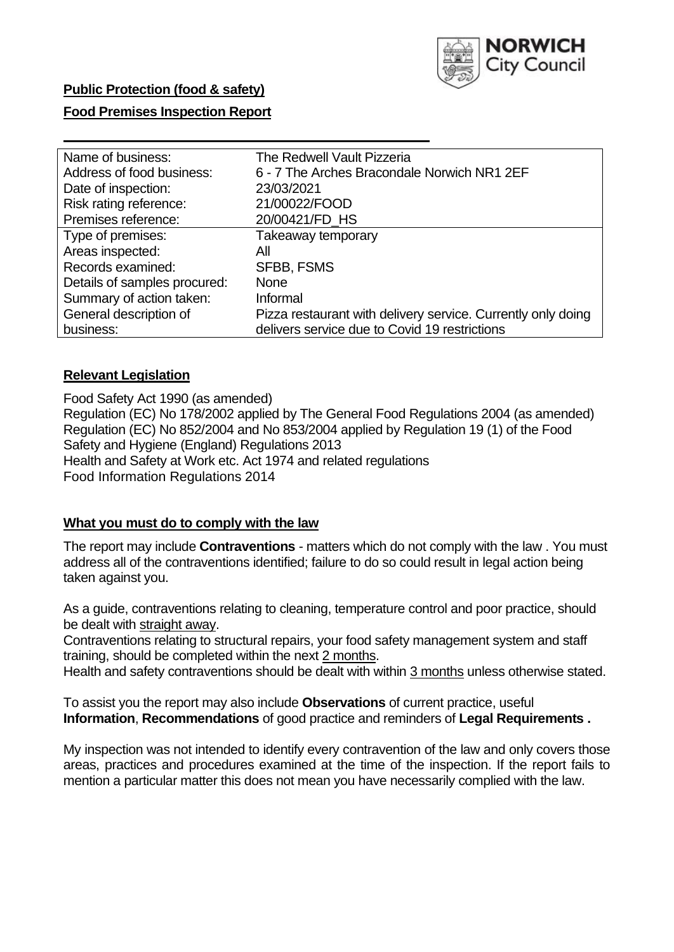

# **Food Premises Inspection Report**

| Name of business:            | The Redwell Vault Pizzeria                                   |
|------------------------------|--------------------------------------------------------------|
| Address of food business:    | 6 - 7 The Arches Bracondale Norwich NR1 2EF                  |
| Date of inspection:          | 23/03/2021                                                   |
| Risk rating reference:       | 21/00022/FOOD                                                |
| Premises reference:          | 20/00421/FD_HS                                               |
| Type of premises:            | Takeaway temporary                                           |
| Areas inspected:             | All                                                          |
| Records examined:            | <b>SFBB, FSMS</b>                                            |
| Details of samples procured: | <b>None</b>                                                  |
| Summary of action taken:     | Informal                                                     |
| General description of       | Pizza restaurant with delivery service. Currently only doing |
| business:                    | delivers service due to Covid 19 restrictions                |

## **Relevant Legislation**

 Food Safety Act 1990 (as amended) Regulation (EC) No 178/2002 applied by The General Food Regulations 2004 (as amended) Regulation (EC) No 852/2004 and No 853/2004 applied by Regulation 19 (1) of the Food Safety and Hygiene (England) Regulations 2013 Health and Safety at Work etc. Act 1974 and related regulations Food Information Regulations 2014

## **What you must do to comply with the law**

 The report may include **Contraventions** - matters which do not comply with the law . You must address all of the contraventions identified; failure to do so could result in legal action being taken against you.

 As a guide, contraventions relating to cleaning, temperature control and poor practice, should be dealt with straight away.

 Contraventions relating to structural repairs, your food safety management system and staff training, should be completed within the next 2 months.

Health and safety contraventions should be dealt with within 3 months unless otherwise stated.

 To assist you the report may also include **Observations** of current practice, useful **Information**, **Recommendations** of good practice and reminders of **Legal Requirements .** 

 My inspection was not intended to identify every contravention of the law and only covers those areas, practices and procedures examined at the time of the inspection. If the report fails to mention a particular matter this does not mean you have necessarily complied with the law.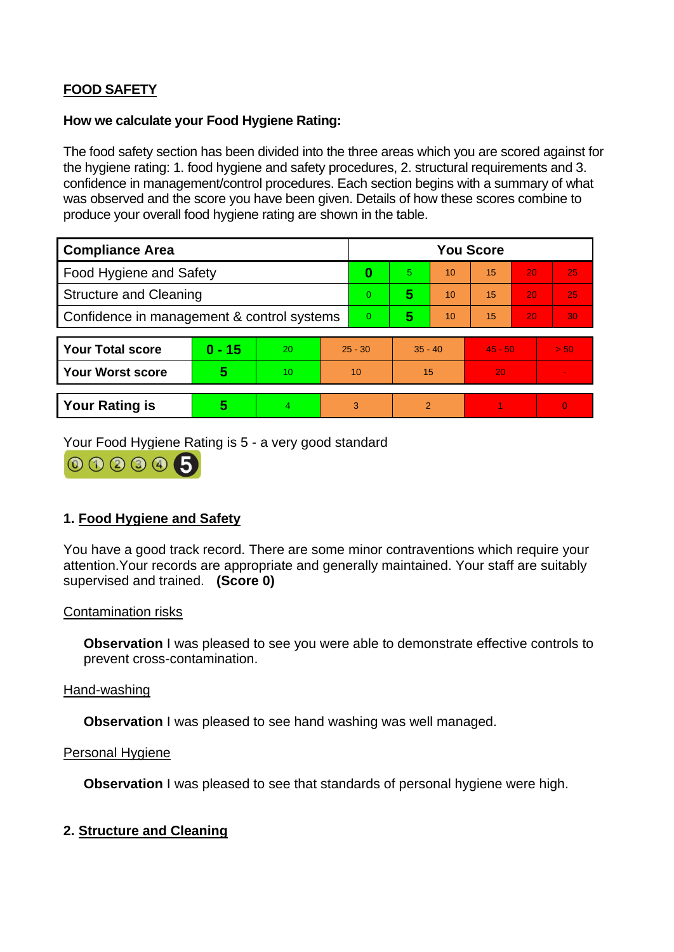# **FOOD SAFETY**

### **How we calculate your Food Hygiene Rating:**

 The food safety section has been divided into the three areas which you are scored against for the hygiene rating: 1. food hygiene and safety procedures, 2. structural requirements and 3. confidence in management/control procedures. Each section begins with a summary of what was observed and the score you have been given. Details of how these scores combine to produce your overall food hygiene rating are shown in the table.

| <b>Compliance Area</b>                     |          |    |           | <b>You Score</b> |                |    |           |    |          |  |  |
|--------------------------------------------|----------|----|-----------|------------------|----------------|----|-----------|----|----------|--|--|
| Food Hygiene and Safety                    |          |    | 0         | 5.               | 10             | 15 | 20        | 25 |          |  |  |
| <b>Structure and Cleaning</b>              |          |    | $\Omega$  | 5                | 10             | 15 | 20        | 25 |          |  |  |
| Confidence in management & control systems |          |    | $\Omega$  | 5                | 10             | 15 | 20        | 30 |          |  |  |
|                                            |          |    |           |                  |                |    |           |    |          |  |  |
| <b>Your Total score</b>                    | $0 - 15$ | 20 | $25 - 30$ |                  | $35 - 40$      |    | $45 - 50$ |    | > 50     |  |  |
| Your Worst score                           | 5        | 10 | 10        |                  | 15             |    | 20        |    |          |  |  |
|                                            |          |    |           |                  |                |    |           |    |          |  |  |
| <b>Your Rating is</b>                      | 5        | 4  | 3         |                  | $\overline{2}$ |    |           |    | $\Omega$ |  |  |

Your Food Hygiene Rating is 5 - a very good standard

000005

# **1. Food Hygiene and Safety**

 You have a good track record. There are some minor contraventions which require your attention.Your records are appropriate and generally maintained. Your staff are suitably supervised and trained. **(Score 0)** 

## Contamination risks

**Observation** I was pleased to see you were able to demonstrate effective controls to prevent cross-contamination.

### Hand-washing

**Observation** I was pleased to see hand washing was well managed.

#### Personal Hygiene

**Observation** I was pleased to see that standards of personal hygiene were high.

# **2. Structure and Cleaning**